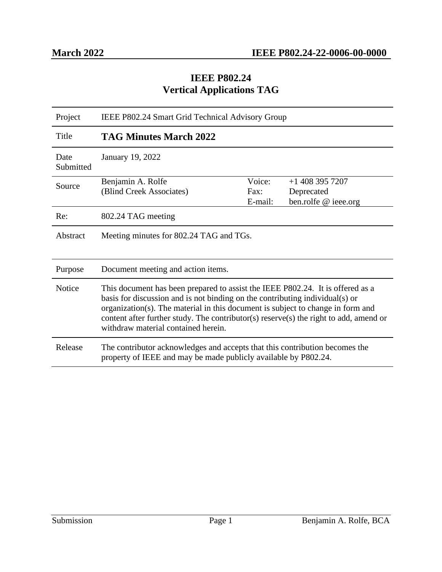#### **IEEE P802.24 Vertical Applications TAG**

| Project           | IEEE P802.24 Smart Grid Technical Advisory Group                                                                                                                                                                                                                                                                                                                                  |                           |                                                         |
|-------------------|-----------------------------------------------------------------------------------------------------------------------------------------------------------------------------------------------------------------------------------------------------------------------------------------------------------------------------------------------------------------------------------|---------------------------|---------------------------------------------------------|
| Title             | <b>TAG Minutes March 2022</b>                                                                                                                                                                                                                                                                                                                                                     |                           |                                                         |
| Date<br>Submitted | January 19, 2022                                                                                                                                                                                                                                                                                                                                                                  |                           |                                                         |
| Source            | Benjamin A. Rolfe<br>(Blind Creek Associates)                                                                                                                                                                                                                                                                                                                                     | Voice:<br>Fax:<br>E-mail: | $+1$ 408 395 7207<br>Deprecated<br>ben.rolfe @ ieee.org |
| Re:               | 802.24 TAG meeting                                                                                                                                                                                                                                                                                                                                                                |                           |                                                         |
| Abstract          | Meeting minutes for 802.24 TAG and TGs.                                                                                                                                                                                                                                                                                                                                           |                           |                                                         |
| Purpose           | Document meeting and action items.                                                                                                                                                                                                                                                                                                                                                |                           |                                                         |
| <b>Notice</b>     | This document has been prepared to assist the IEEE P802.24. It is offered as a<br>basis for discussion and is not binding on the contributing individual(s) or<br>organization(s). The material in this document is subject to change in form and<br>content after further study. The contributor(s) reserve(s) the right to add, amend or<br>withdraw material contained herein. |                           |                                                         |
| Release           | The contributor acknowledges and accepts that this contribution becomes the<br>property of IEEE and may be made publicly available by P802.24.                                                                                                                                                                                                                                    |                           |                                                         |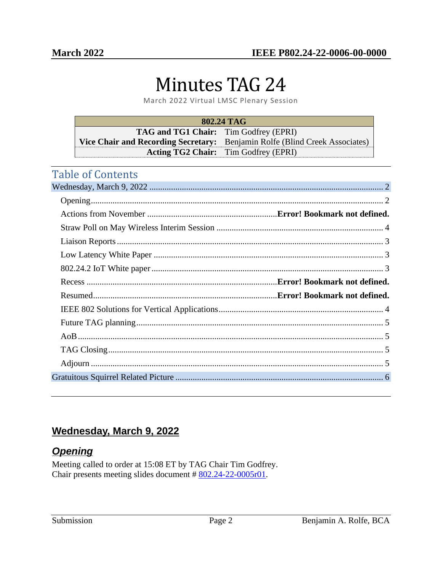# Minutes TAG 24

March 2022 Virtual LMSC Plenary Session

| 802.24 TAG                                   |                                                                             |  |  |
|----------------------------------------------|-----------------------------------------------------------------------------|--|--|
| <b>TAG and TG1 Chair:</b> Tim Godfrey (EPRI) |                                                                             |  |  |
|                                              | Vice Chair and Recording Secretary: Benjamin Rolfe (Blind Creek Associates) |  |  |
|                                              | <b>Acting TG2 Chair:</b> Tim Godfrey (EPRI)                                 |  |  |

# Table of Contents

## <span id="page-1-0"></span>**Wednesday, March 9, 2022**

## <span id="page-1-1"></span>*Opening*

Meeting called to order at 15:08 ET by TAG Chair Tim Godfrey. Chair presents meeting slides document # [802.24-22-0005r01](https://mentor.ieee.org/802.24/dcn/22/24-22-0005-00-0000-march-2022-virtual-meeting-presentation.pptx).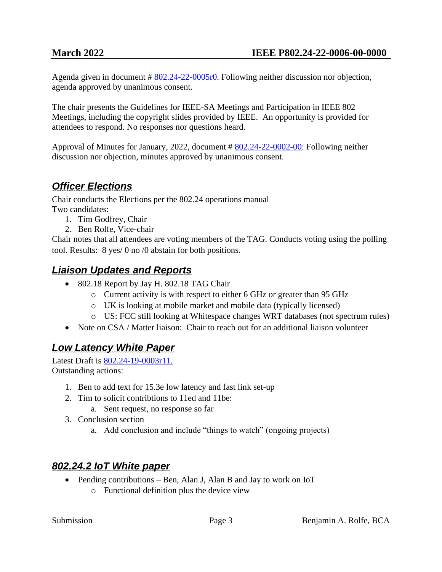Agenda given in document # [802.24-22-0005r0.](https://mentor.ieee.org/802.24/dcn/22/24-22-0005-00-0000-march-2022-virtual-meeting-presentation.pptx) Following neither discussion nor objection, agenda approved by unanimous consent.

The chair presents the Guidelines for IEEE-SA Meetings and Participation in IEEE 802 Meetings, including the copyright slides provided by IEEE. An opportunity is provided for attendees to respond. No responses nor questions heard.

Approval of Minutes for January, 2022, document # [802.24-22-0002-00:](https://mentor.ieee.org/802.24/dcn/22/24-22-0002-00-0000-january-2022-interim-minutes.pdf) Following neither discussion nor objection, minutes approved by unanimous consent.

# *Officer Elections*

Chair conducts the Elections per the 802.24 operations manual Two candidates:

- 1. Tim Godfrey, Chair
- 2. Ben Rolfe, Vice-chair

Chair notes that all attendees are voting members of the TAG. Conducts voting using the polling tool. Results: 8 yes/ 0 no /0 abstain for both positions.

#### <span id="page-2-0"></span>*Liaison Updates and Reports*

- 802.18 Report by Jay H. 802.18 TAG Chair
	- o Current activity is with respect to either 6 GHz or greater than 95 GHz
	- o UK is looking at mobile market and mobile data (typically licensed)
	- o US: FCC still looking at Whitespace changes WRT databases (not spectrum rules)
- Note on CSA / Matter liaison: Chair to reach out for an additional liaison volunteer

## <span id="page-2-1"></span>*Low Latency White Paper*

Latest Draft is [802.24-19-0003r11.](https://mentor.ieee.org/802.24/dcn/19/24-19-0003-12-0000-low-latency-communication-white-paper.docx) Outstanding actions:

- 1. Ben to add text for 15.3e low latency and fast link set-up
- 2. Tim to solicit contribtions to 11ed and 11be:
	- a. Sent request, no response so far
- 3. Conclusion section
	- a. Add conclusion and include "things to watch" (ongoing projects)

# <span id="page-2-2"></span>*802.24.2 IoT White paper*

- Pending contributions Ben, Alan J, Alan B and Jay to work on IoT
	- o Functional definition plus the device view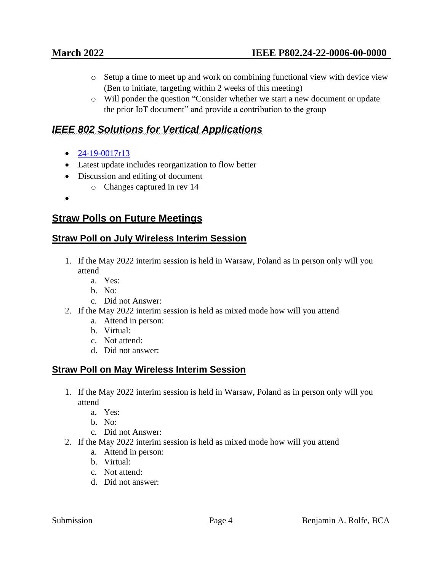- o Setup a time to meet up and work on combining functional view with device view (Ben to initiate, targeting within 2 weeks of this meeting)
- o Will ponder the question "Consider whether we start a new document or update the prior IoT document" and provide a contribution to the group

## <span id="page-3-1"></span>*IEEE 802 Solutions for Vertical Applications*

- $24 19 0017$ r13
- Latest update includes reorganization to flow better
- Discussion and editing of document
	- o Changes captured in rev 14
- •

#### **Straw Polls on Future Meetings**

#### <span id="page-3-0"></span>**Straw Poll on July Wireless Interim Session**

- 1. If the May 2022 interim session is held in Warsaw, Poland as in person only will you attend
	- a. Yes:
	- b. No:
	- c. Did not Answer:
- 2. If the May 2022 interim session is held as mixed mode how will you attend
	- a. Attend in person:
	- b. Virtual:
	- c. Not attend:
	- d. Did not answer:

#### **Straw Poll on May Wireless Interim Session**

- 1. If the May 2022 interim session is held in Warsaw, Poland as in person only will you attend
	- a. Yes:
	- b. No:
	- c. Did not Answer:
- 2. If the May 2022 interim session is held as mixed mode how will you attend
	- a. Attend in person:
	- b. Virtual:
	- c. Not attend:
	- d. Did not answer: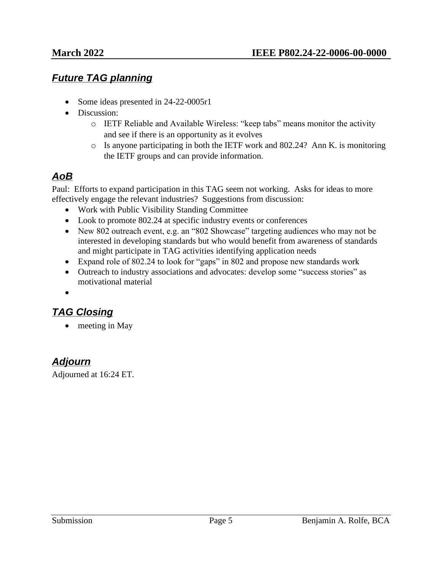#### <span id="page-4-0"></span>*Future TAG planning*

- Some ideas presented in 24-22-0005r1
- Discussion:
	- o IETF Reliable and Available Wireless: "keep tabs" means monitor the activity and see if there is an opportunity as it evolves
	- o Is anyone participating in both the IETF work and 802.24? Ann K. is monitoring the IETF groups and can provide information.

# <span id="page-4-1"></span>*AoB*

Paul: Efforts to expand participation in this TAG seem not working. Asks for ideas to more effectively engage the relevant industries? Suggestions from discussion:

- Work with Public Visibility Standing Committee
- Look to promote 802.24 at specific industry events or conferences
- New 802 outreach event, e.g. an "802 Showcase" targeting audiences who may not be interested in developing standards but who would benefit from awareness of standards and might participate in TAG activities identifying application needs
- Expand role of 802.24 to look for "gaps" in 802 and propose new standards work
- Outreach to industry associations and advocates: develop some "success stories" as motivational material
- •

## <span id="page-4-2"></span>*TAG Closing*

• meeting in May

#### <span id="page-4-3"></span>*Adjourn*

Adjourned at 16:24 ET.